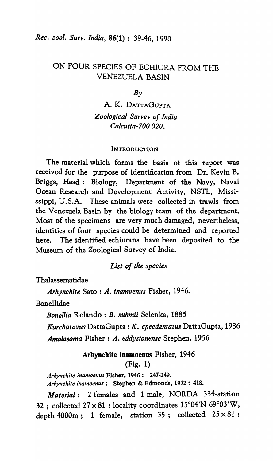# ON FOUR SPECIES OF ECHIURA FROM THE VENEZUELA BASIN

### $Bv$

# A. K. DATTAGUPTA *Zoological Survey of India Calcutta-700 020.*

### **INTRODUCTION**

The material which forms the basis of this report was received for the purpose of identification from Dr. Kevin B. Briggs, Head: Biology, Department of the Navy, Naval Ocean Research and Development Activity, NSTL, Mississippi, U.S.A. These animals were collected in trawls from the Venezuela Basin by the biology team of the department. Most of the specimens are very much damaged, nevertheless, identities of four species could be determined and reported here. The identified echiurans have been deposited to the Museum of the Zoological Survey of India.

### *List of the species*

Thalassematidae

*Arhynchite* Sato : *A. inamoenus* Fisher, 1946.

Bonellidae

*Bonellia* Rolando: B. *suhmii* Selenka, 1885

*Kurchatovus* DattaGupta : K. *epeedentatus* DattaGupta, 1986 *Amalosoma* Fisher: A. *eddystonense* Stephen, 1956

### Arhynchite inamoenus Fisher, 1946

(Fig. 1)

*Arhynchite inamoenus* Fisher, 1946: 247-249. *Arhynchite inamoenus:* Stephen & Edmonds, 1972: 418.

*Material:* 2 females and 1 male, NORDA 334-station 32 ; collected  $27 \times 81$  : locality coordinates  $15^{\circ}04'N$  69°03'W, depth 4000m; 1 female, station 35; collected  $25 \times 81$ :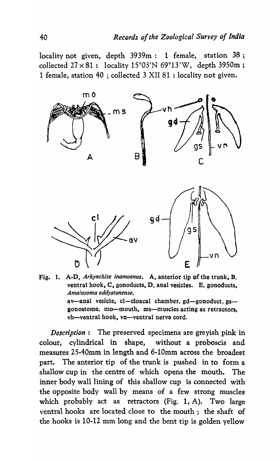locality not given, depth 3939m: 1 female, station 38; collected  $27 \times 81$ : locality  $15^{\circ}03'N$  69°13'W, depth 3950m; 1 female, station 40 ; collected 3 XII 81 : locality not given.





*Description:* The preserved specimens are greyish pink in colour, cylindrical in shape, without a proboscis and measures 25-40mm in length and 6-10mm across the broadest part. The anterior tip of the trunk is pushed in to form a shallow cup in the centre of which opens the mouth. The inner body wall lining of this shallow cup is connected with the opposite body wall by means of a few strong muscles which probably act as retractors (Fig. 1, A). Two large ventral hooks are located close to the mouth; the shaft of the hooks is 10-12 mm long and the bent tip is golden yellow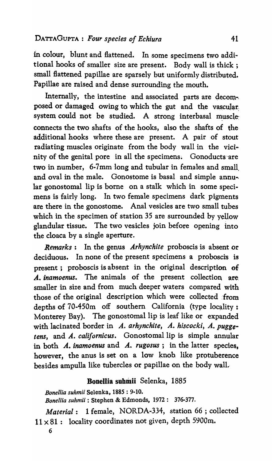in colour, blunt and flattened. In some specimens two additional hooks of smaller size are present. Body wall is thick ; small flattened papillae are sparsely but uniformly distributed. Papillae are raised and dense surrounding the mouth.

Internally, the intestine and associated parts are decom-. posed or damaged owing to which the gut and the vascular. system could not be studied. A strong interbasal muscleconnects the two shafts of the hooks, also the shafts of theadditional hooks where these are present. A pair of stout radiating muscles originate from the body wall in the vicinity of the genital pore in all the specimens. Gonoducts are two in number, 6-7mm long and tubular in females and small and oval in the male. Gonostome is basal and simple annular gonostomal lip is borne on a stalk which in some specimens is fairly long. In two female specimens dark pigments are there in the gonostome. Anal vesicles are two small tubes which in the specimen of station 35 are surrounded by yellow glandular tissue. The two vesicles join before opening into the cloaca by a single aperture.

*Remarks:* In the genus *Arhynchite* proboscis is absent or deciduous. In none of the present specimens a proboscis is present; proboscis is absent in the original description of A. *inamoenus*. The animals of the present collection are smaller in size and from much deeper waters compared with those of the original description which were collected from depths of 70-450m off southern California (type locality: Monterey Bay). The gonostomal lip is leaf like or expanded with lacinated border in *A. arhynchite, A. hiscocki, A. puggetens*, and *A. californicus*. Gonostomal lip is simple annular in both *A. inamoenus* and *A. rugosus*; in the latter species. however, the anus is set on a low knob like protuberence besides ampulla like tubercles or papillae on the body wall.,

## Bonellia suhmii Selenka, 1885

*Bonellia suhmii* Selenka, 1885 : 9-10.

*Bonellia suhmii* : Stephen & Edmonds, 1972: 376-377.

*Material:* 1 female, NORDA-334, station 66 ; collected  $11 \times 81$ : locality coordinates not given, depth 5900m.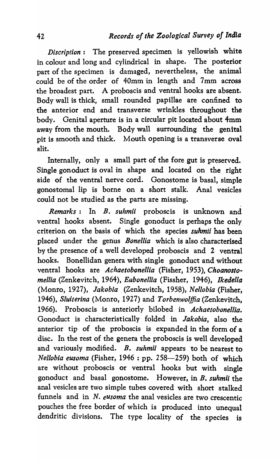*Discription:* The preserved specimen is yellowish white in colour and long and cylindrical in shape. The posterior part of the specimen is damaged, nevertheless, the animal could be of the order of 40mm in length and 7mm across the broadest part. A proboscis and ventral hooks are absent. Body wall is thick, small rounded papillae are confined to the anterior end and transverse wrinkles throughout the body. Genital aperture is in a circular pit located about 4mm away from the mouth. Body wall surrounding the genital pit is smooth and thick. Mouth opening is a transverse oval slit.

Internally, only a small part of the fore gut is preserved. Single gonoduct is oval in shape and located on the right side of the ventral nerve cord. Gonostome is basal, simple gonostomal lip is borne on a short stalk. Anal vesicles could not be studied as the parts are missing.

*Remarks:* In *B. suhmii* proboscis is unknown and ventral hooks absent. Single gonoduct is perhaps the only criterion on the basis of which the species *suhmii* has been placed under the genus *Bonellia* which is also characterised by the presence of a well developed proboscis and 2 ventral hooks. Bonellidan genera with single gonoduct and without ventral hooks are *Achaetobonellia* (Fisher, 1953), *Choanostomellia* (Zenkevitch, 1964), *Eubonellia* (Fissher, 1946), *Ikedella*  (Monro, 1927), *Jakobia* (Zenkevitch, 1958), *Nellobia* (Fisher, *1946), Sluiterina* (Monro, 1927) and *Torbenwolffia* (Zenkevitch, 1966). Proboscis is anteriorly bilobed in *Achaetobonellia.*  Gonoduct is characteristically folded in *Jakobia,* also the anterior tip of the proboscis is expanded in the form of a disc. In the rest of the genera the proboscis is well developed and variously modified. *B. suhmii* appears to be nearest to *Nel/obia eusoma* (Fisher, 1946 : pp. 258-259) both of which are without proboscis or ventral hooks but with single gonoduct and basal gonostome. However, in *B. suhmii* the anal vesicles are two simple tubes covered with short stalked funnels and in N. *eusoma* the anal vesicles are two crescentic pouches the free border of which is produced into unequal dendritic divisions. The type locality of the species is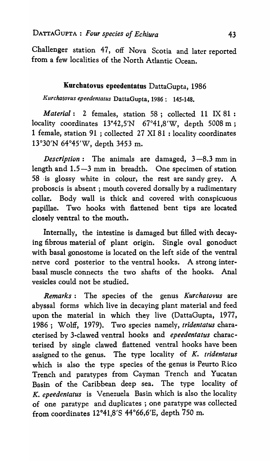Challenger station 47, off Nova Scotia and later reported from a few localities of the North Atlantic Ocean.

## Kurchatovus epeedentatus DattaGupta, 1986

*/{urchatovus epeedentatus* DattaGupta, 1986: 145-148.

*Material:* 2 females, station 58; collected 11 IX 81 : locality coordinates 13°42,5'N 67°41,8'W, depth 5008 m ; 1 female, station 91 ; collected 27 XI 81 : locality coordinates 13°30'N 64°45'W, depth 3453 m.

*Description*: The animals are damaged, 3-8.3 mm in length and 1.5-3 mm in breadth. One specimen of station 58 ·is glossy white in colour, the rest are sandy grey. A proboscis is absent; mouth covered dorsally by a rudimentary collar. Body wall is thick and covered with conspicuous papillae. Two hooks with flattened bent tips are located closely ventral to the mouth.

Internally, the intestine is damaged but filled with decaying fibrous material of plant origin. Single oval gonoduct with basal gonostome is located on the left side of the ventral -nerve cord posterior to the ventral hooks. A strong interbasal muscle connects the two shafts of the hooks. Anal vesicles could not be studied.

*Remarks:* The species of the genus *Kurchatovus* are abyssal forms which live in decaying plant material and feed upon the material in which they live (DattaGupta, 1977, 1986; Wolff, 1979). Two species namely, *tridentatus* characterised by 3-clawed ventral hooks and *epeedentatus* characterised by single clawed flattened ventral hooks have been assigned to the genus. The type locality of *K. tridentatus*  which is also the type species of the genus is Peurto Rico Trench and paratypes from Cayman Trench and Yucatan Basin of the Caribbean deep sea. The type locality of *K. epeedentatus* is Venezuela Basin which is also the locality of one paratype and duplicates; one paratype was collected from coordinates 12°41,8'S 44°66,6'E, depth 750 m.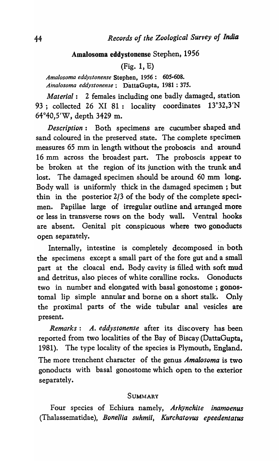### Amalosoma eddystonense Stephen, 1956

### (Fig. 1, E)

*Amalosoma eddystonense* Stephen, 1956: 605-608. *Ama/osoma eddystonense:* DattaGupta, 1981 : 375.

*Material:* 2 females including one badly damaged, station 93; collected 26 XI 81: locality coordinates 13°32,3'N 64°40,5'W, depth 3429 m.

*Description:* Both specimens are cucumber shaped and sand coloured in the preserved state. The complete specimen measures 65 mm in length without the proboscis and around 16 mm across the broadest part. The proboscis appear to be broken at the region of its junction with the trunk and lost. The damaged specimen should be around 60 mm long. Body wall is uniformly thick in the damaged specimen ; but thin in the posterior 2/3 of the body of the complete specimen. Papillae large of irregular outline and arranged more or less in transverse rows on the body wall. Ventral hooks are absent. Genital pit conspicuous where two gonoducts open separately.

Internally, intestine is completely decomposed in both the specimens except a small part of the fore gut and a small part at the cloacal end. Body cavity is filled with soft mud and detritus, also pieces of white coralline rocks. Gonoducts two in number and elongated with basal gonostome ; gonostomal lip simple annular and borne on a short stalk. Only the proximal parts of the wide tubular anal vesicles are present.

*Remarks: A. eddystonense* after its discovery has been reported from two localities of the Bay of Biscay (DattaGupta, 1981). The type locality of the species is Plymouth, England. The more trenchent character of the genus *Amalosoma* is two gonoducts with basal gonostome which open to the exterior separately.

### SUMMARY

Four species of Echiura namely, *Arhynchite inamoenus* (Thalassematidae), *Bonellia suhmii, Kurchatovus epeedentatus*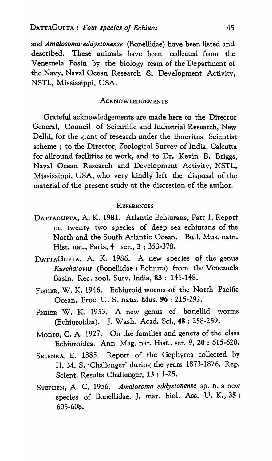and *Amalosoma eddystonense* (Bonellidae) have been listed and described. These animals have been collected from the Venezuela Basin by the biology team of the Department of the Navy, Naval Ocean Research & Development Activity, NSTL, Mississippi, USA.

#### ACKNOWLEDGEMENTS

Grateful acknowledgements are made here to the Director General, Council of Scientific and Industrial Research, New Delhi, for the grant of research under the Emeritus Scientist scheme; to the Director, Zoological Survey of India, Calcutta for allround facilities to work, and to Dr. Kevin B. Briggs, Naval Ocean Research and Development Activity, NSTL, Mississippi, USA, who very kindly left the disposal of the material of the present study at the discretion of the author.

### **REFERENCES**

- DATTAGUPTA, A. K. 1981. Atlantic Echiurans, Part 1. Report on twenty two species of deep sea echiurans of the North and the South Atlantic Ocean. Bull. Mus. natn. Hist. nat., Paris, 4 ser., 3 ; 353-378.
- DATTAGuPTA, A. K. 1986. A new species of the genus *Kurchatovus* (Bonellidae: Echiura) from the Venezuela Basin. Rec. zooI. Surv. India, 83; 145-148.
- FISHER, W. K. 1946. Echiuroid worms of the North Pacific Ocean. Proc. U. S. natn. Mus. 96 : 215-292.
- FISHER W. K. 1953. A new genus of bonellid worms (Echiuroidea). J. Wash. Acad. Sci., 48 : 258-259.
- Monro, C. A. 1927. On the families and genera of the class Echiuroidea. Ann. Mag. nat. Hist., ser. 9, 20: 615-620.
- SELENKA, E. 1885. Report of the Gephyrea collected by H. M. S. 'Challenger' during the years 1873-1876. Rep. Scient. Results Challenger, 13 : 1-25.
- STEPHEN, A. C. 1956. *Amalosoma eddystonense* sp. n. a new species of Bonellidae. J. mar. bioI. Ass. U. K., 35 : 605·608.